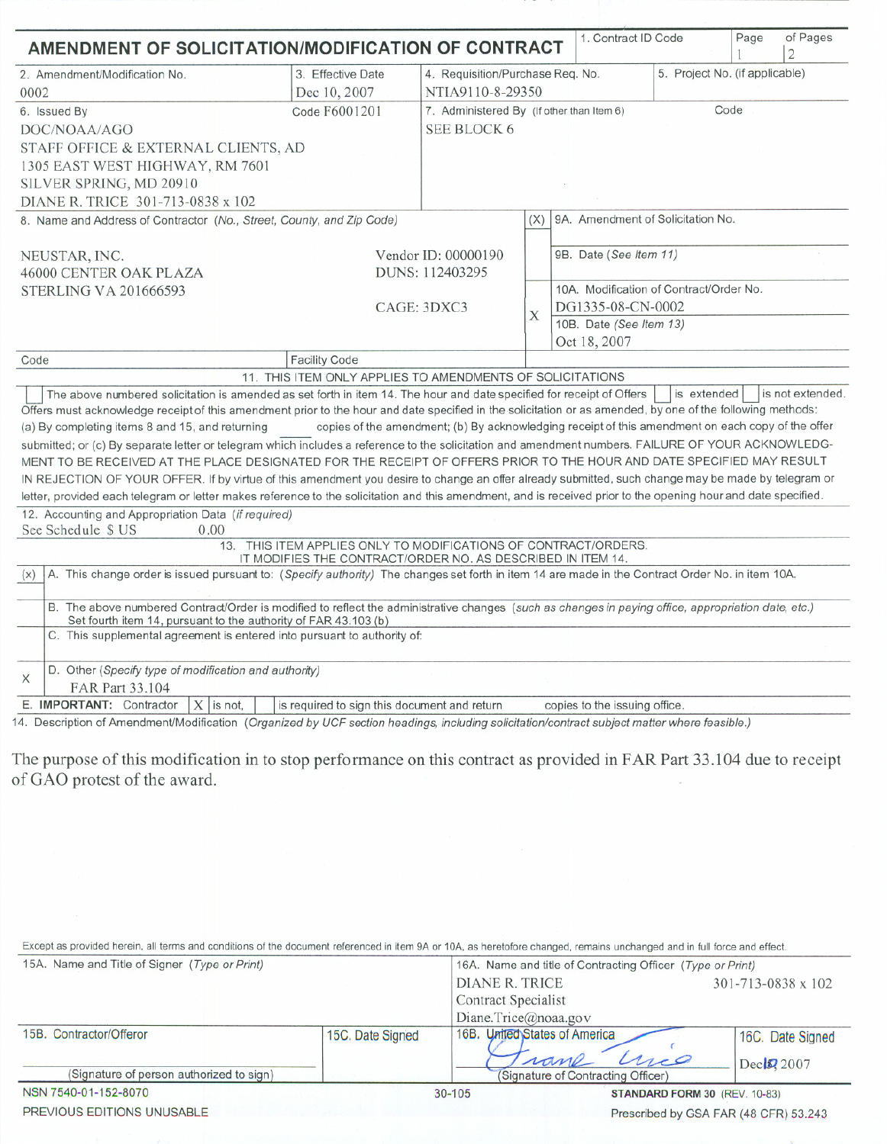| AMENDMENT OF SOLICITATION/MODIFICATION OF CONTRACT                                                                                                                                                                                                                                  |                                                                                                                                |                                                                                                   |                        | 1. Contract ID Code                                          |             | Page | of Pages         |
|-------------------------------------------------------------------------------------------------------------------------------------------------------------------------------------------------------------------------------------------------------------------------------------|--------------------------------------------------------------------------------------------------------------------------------|---------------------------------------------------------------------------------------------------|------------------------|--------------------------------------------------------------|-------------|------|------------------|
| 2. Amendment/Modification No.                                                                                                                                                                                                                                                       | 3. Effective Date                                                                                                              |                                                                                                   |                        |                                                              |             |      |                  |
| 0002                                                                                                                                                                                                                                                                                | Dec 10, 2007                                                                                                                   | 5. Project No. (if applicable)<br>4. Requisition/Purchase Req. No.                                |                        |                                                              |             |      |                  |
|                                                                                                                                                                                                                                                                                     | Code F6001201                                                                                                                  | NTIA9110-8-29350<br>Code<br>7. Administered By (If other than Item 6)                             |                        |                                                              |             |      |                  |
| 6. Issued By                                                                                                                                                                                                                                                                        |                                                                                                                                | SEE BLOCK 6                                                                                       |                        |                                                              |             |      |                  |
| DOC/NOAA/AGO                                                                                                                                                                                                                                                                        |                                                                                                                                |                                                                                                   |                        |                                                              |             |      |                  |
| STAFF OFFICE & EXTERNAL CLIENTS, AD                                                                                                                                                                                                                                                 |                                                                                                                                |                                                                                                   |                        |                                                              |             |      |                  |
| 1305 EAST WEST HIGHWAY, RM 7601                                                                                                                                                                                                                                                     |                                                                                                                                |                                                                                                   |                        |                                                              |             |      |                  |
| SILVER SPRING, MD 20910                                                                                                                                                                                                                                                             |                                                                                                                                |                                                                                                   |                        |                                                              |             |      |                  |
| DIANE R. TRICE 301-713-0838 x 102                                                                                                                                                                                                                                                   |                                                                                                                                |                                                                                                   |                        |                                                              |             |      |                  |
| 8. Name and Address of Contractor (No., Street, County, and Zip Code)                                                                                                                                                                                                               |                                                                                                                                |                                                                                                   | (X)                    | 9A. Amendment of Solicitation No.                            |             |      |                  |
|                                                                                                                                                                                                                                                                                     |                                                                                                                                |                                                                                                   |                        |                                                              |             |      |                  |
| NEUSTAR, INC.                                                                                                                                                                                                                                                                       | Vendor ID: 00000190                                                                                                            |                                                                                                   | 9B. Date (See Item 11) |                                                              |             |      |                  |
| 46000 CENTER OAK PLAZA                                                                                                                                                                                                                                                              |                                                                                                                                | DUNS: 112403295                                                                                   |                        |                                                              |             |      |                  |
| <b>STERLING VA 201666593</b>                                                                                                                                                                                                                                                        | CAGE: 3DXC3                                                                                                                    |                                                                                                   |                        | 10A. Modification of Contract/Order No.<br>DG1335-08-CN-0002 |             |      |                  |
|                                                                                                                                                                                                                                                                                     |                                                                                                                                |                                                                                                   | Χ                      | 10B. Date (See Item 13)                                      |             |      |                  |
|                                                                                                                                                                                                                                                                                     |                                                                                                                                |                                                                                                   |                        | Oct 18, 2007                                                 |             |      |                  |
| Code                                                                                                                                                                                                                                                                                | <b>Facility Code</b>                                                                                                           |                                                                                                   |                        |                                                              |             |      |                  |
|                                                                                                                                                                                                                                                                                     | 11. THIS ITEM ONLY APPLIES TO AMENDMENTS OF SOLICITATIONS                                                                      |                                                                                                   |                        |                                                              |             |      |                  |
| The above numbered solicitation is amended as set forth in item 14. The hour and date specified for receipt of Offers<br>Offers must acknowledge receipt of this amendment prior to the hour and date specified in the solicitation or as amended, by one of the following methods: |                                                                                                                                |                                                                                                   |                        |                                                              | is extended |      | is not extended. |
| (a) By completing items 8 and 15, and returning                                                                                                                                                                                                                                     |                                                                                                                                | copies of the amendment; (b) By acknowledging receipt of this amendment on each copy of the offer |                        |                                                              |             |      |                  |
| submitted; or (c) By separate letter or telegram which includes a reference to the solicitation and amendment numbers. FAILURE OF YOUR ACKNOWLEDG-                                                                                                                                  |                                                                                                                                |                                                                                                   |                        |                                                              |             |      |                  |
| MENT TO BE RECEIVED AT THE PLACE DESIGNATED FOR THE RECEIPT OF OFFERS PRIOR TO THE HOUR AND DATE SPECIFIED MAY RESULT                                                                                                                                                               |                                                                                                                                |                                                                                                   |                        |                                                              |             |      |                  |
| IN REJECTION OF YOUR OFFER. If by virtue of this amendment you desire to change an offer already submitted, such change may be made by telegram or                                                                                                                                  |                                                                                                                                |                                                                                                   |                        |                                                              |             |      |                  |
| letter, provided each telegram or letter makes reference to the solicitation and this amendment, and is received prior to the opening hour and date specified.                                                                                                                      |                                                                                                                                |                                                                                                   |                        |                                                              |             |      |                  |
| 12. Accounting and Appropriation Data (if required)                                                                                                                                                                                                                                 |                                                                                                                                |                                                                                                   |                        |                                                              |             |      |                  |
| See Schedule \$ US<br>0.00                                                                                                                                                                                                                                                          |                                                                                                                                |                                                                                                   |                        |                                                              |             |      |                  |
|                                                                                                                                                                                                                                                                                     | 13. THIS ITEM APPLIES ONLY TO MODIFICATIONS OF CONTRACT/ORDERS.<br>IT MODIFIES THE CONTRACT/ORDER NO. AS DESCRIBED IN ITEM 14. |                                                                                                   |                        |                                                              |             |      |                  |
| A. This change order is issued pursuant to: (Specify authority) The changes set forth in item 14 are made in the Contract Order No. in item 10A.<br>(x)                                                                                                                             |                                                                                                                                |                                                                                                   |                        |                                                              |             |      |                  |
| B. The above numbered Contract/Order is modified to reflect the administrative changes (such as changes in paying office, appropriation date, etc.)<br>Set fourth item 14, pursuant to the authority of FAR 43.103 (b)                                                              |                                                                                                                                |                                                                                                   |                        |                                                              |             |      |                  |
| C. This supplemental agreement is entered into pursuant to authority of:                                                                                                                                                                                                            |                                                                                                                                |                                                                                                   |                        |                                                              |             |      |                  |
|                                                                                                                                                                                                                                                                                     |                                                                                                                                |                                                                                                   |                        |                                                              |             |      |                  |
| D. Other (Specify type of modification and authority)<br>X<br>FAR Part 33.104                                                                                                                                                                                                       |                                                                                                                                |                                                                                                   |                        |                                                              |             |      |                  |

14. Description of Amendment/Modification (Organized by UCF section headings, including solicitation/contract subject matter where feasible.)

The purpose of this modification in to stop performance on this contract as provided in FAR Part 33.104 due to receipt of GAO protest of the award.

Except as provided herein, all terms and conditions of the document referenced in item 9A or 10A, as heretofore changed, remains unchanged and in full force and effect.

| NSN 7540-01-152-8070                          |                  | $30 - 105$                                                 | <b>STANDARD FORM 30 (REV. 10-83)</b> |  |  |  |
|-----------------------------------------------|------------------|------------------------------------------------------------|--------------------------------------|--|--|--|
| (Signature of person authorized to sign)      |                  | (Signature of Contracting Officer)                         |                                      |  |  |  |
|                                               |                  | rane<br>creo                                               | Dec 2007                             |  |  |  |
| 15B. Contractor/Offeror                       | 15C. Date Signed | 16B. United States of America                              | 16C. Date Signed                     |  |  |  |
|                                               |                  | Diane.Trice@noaa.gov                                       |                                      |  |  |  |
|                                               |                  | Contract Specialist                                        |                                      |  |  |  |
|                                               |                  | DIANE R. TRICE                                             | $301 - 713 - 0838 \times 102$        |  |  |  |
| 15A. Name and Title of Signer (Type or Print) |                  | 16A. Name and title of Contracting Officer (Type or Print) |                                      |  |  |  |